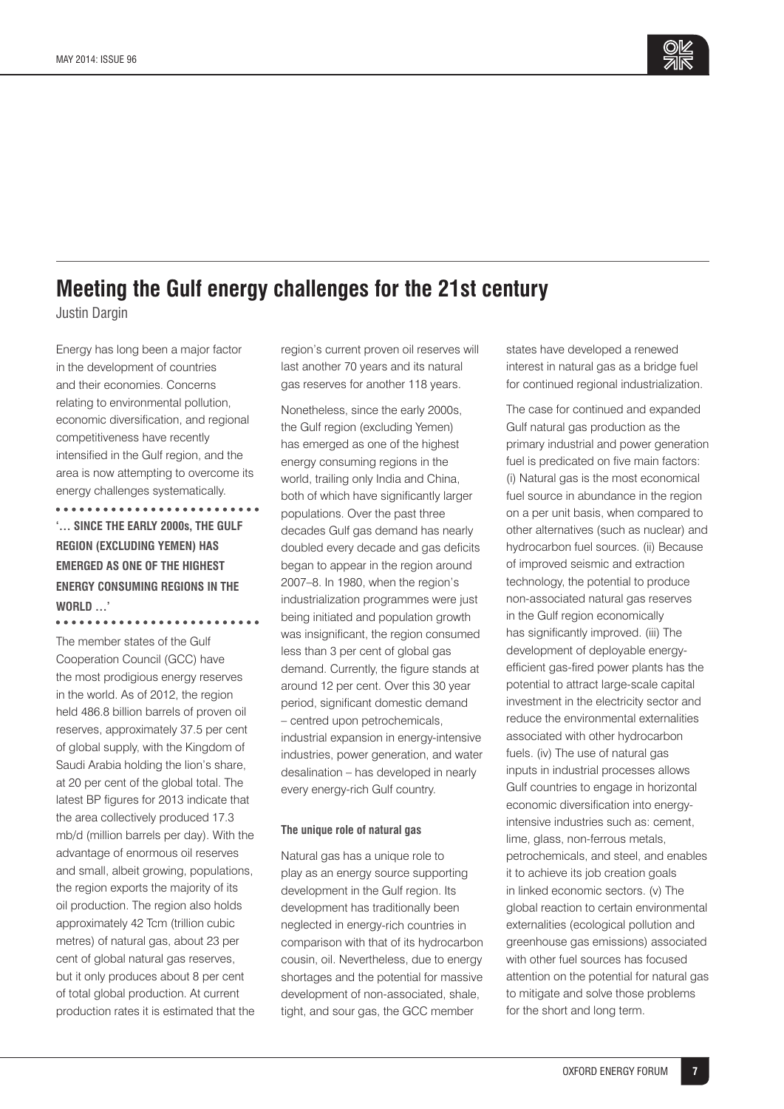

# **Meeting the Gulf energy challenges for the 21st century**

Justin Dargin

Energy has long been a major factor in the development of countries and their economies. Concerns relating to environmental pollution, economic diversification, and regional competitiveness have recently intensified in the Gulf region, and the area is now attempting to overcome its energy challenges systematically.

\*\*\*\*\*\*\*\*\*\*\*\*\*\*\*\*\*\*\*\*\*\*\*\*\*\* **'… SINCE THE EARLY 2000s, THE GULF REGION (EXCLUDING YEMEN) HAS EMERGED AS ONE OF THE HIGHEST ENERGY CONSUMING REGIONS IN THE WORLD …'** 

The member states of the Gulf Cooperation Council (GCC) have the most prodigious energy reserves in the world. As of 2012, the region held 486.8 billion barrels of proven oil reserves, approximately 37.5 per cent of global supply, with the Kingdom of Saudi Arabia holding the lion's share, at 20 per cent of the global total. The latest BP figures for 2013 indicate that the area collectively produced 17.3 mb/d (million barrels per day). With the advantage of enormous oil reserves and small, albeit growing, populations, the region exports the majority of its oil production. The region also holds approximately 42 Tcm (trillion cubic metres) of natural gas, about 23 per cent of global natural gas reserves, but it only produces about 8 per cent of total global production. At current production rates it is estimated that the region's current proven oil reserves will last another 70 years and its natural gas reserves for another 118 years.

Nonetheless, since the early 2000s, the Gulf region (excluding Yemen) has emerged as one of the highest energy consuming regions in the world, trailing only India and China, both of which have significantly larger populations. Over the past three decades Gulf gas demand has nearly doubled every decade and gas deficits began to appear in the region around 2007–8. In 1980, when the region's industrialization programmes were just being initiated and population growth was insignificant, the region consumed less than 3 per cent of global gas demand. Currently, the figure stands at around 12 per cent. Over this 30 year period, significant domestic demand – centred upon petrochemicals, industrial expansion in energy-intensive industries, power generation, and water desalination – has developed in nearly every energy-rich Gulf country.

#### **The unique role of natural gas**

Natural gas has a unique role to play as an energy source supporting development in the Gulf region. Its development has traditionally been neglected in energy-rich countries in comparison with that of its hydrocarbon cousin, oil. Nevertheless, due to energy shortages and the potential for massive development of non-associated, shale, tight, and sour gas, the GCC member

states have developed a renewed interest in natural gas as a bridge fuel for continued regional industrialization.

The case for continued and expanded Gulf natural gas production as the primary industrial and power generation fuel is predicated on five main factors: (i) Natural gas is the most economical fuel source in abundance in the region on a per unit basis, when compared to other alternatives (such as nuclear) and hydrocarbon fuel sources. (ii) Because of improved seismic and extraction technology, the potential to produce non-associated natural gas reserves in the Gulf region economically has significantly improved. (iii) The development of deployable energyefficient gas-fired power plants has the potential to attract large-scale capital investment in the electricity sector and reduce the environmental externalities associated with other hydrocarbon fuels. (iv) The use of natural gas inputs in industrial processes allows Gulf countries to engage in horizontal economic diversification into energyintensive industries such as: cement, lime, glass, non-ferrous metals, petrochemicals, and steel, and enables it to achieve its job creation goals in linked economic sectors. (v) The global reaction to certain environmental externalities (ecological pollution and greenhouse gas emissions) associated with other fuel sources has focused attention on the potential for natural gas to mitigate and solve those problems for the short and long term.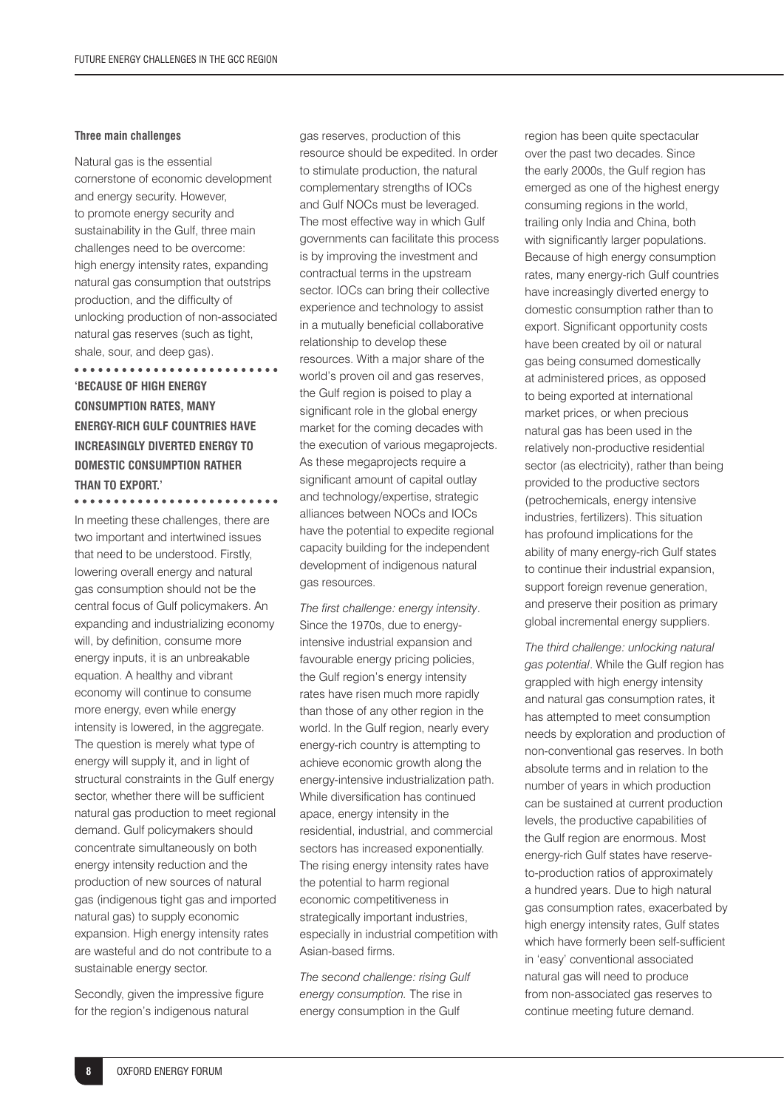#### **Three main challenges**

Natural gas is the essential cornerstone of economic development and energy security. However, to promote energy security and sustainability in the Gulf, three main challenges need to be overcome: high energy intensity rates, expanding natural gas consumption that outstrips production, and the difficulty of unlocking production of non-associated natural gas reserves (such as tight, shale, sour, and deep gas).

. . . . . . . . . . . . . . . . . . . . . . . **'BECAUSE OF HIGH ENERGY CONSUMPTION RATES, MANY ENERGY-RICH GULF COUNTRIES HAVE INCREASINGLY DIVERTED ENERGY TO DOMESTIC CONSUMPTION RATHER THAN TO EXPORT.'** 

In meeting these challenges, there are two important and intertwined issues that need to be understood. Firstly, lowering overall energy and natural gas consumption should not be the central focus of Gulf policymakers. An expanding and industrializing economy will, by definition, consume more energy inputs, it is an unbreakable equation. A healthy and vibrant economy will continue to consume more energy, even while energy intensity is lowered, in the aggregate. The question is merely what type of energy will supply it, and in light of structural constraints in the Gulf energy sector, whether there will be sufficient natural gas production to meet regional demand. Gulf policymakers should concentrate simultaneously on both energy intensity reduction and the production of new sources of natural gas (indigenous tight gas and imported natural gas) to supply economic expansion. High energy intensity rates are wasteful and do not contribute to a sustainable energy sector.

Secondly, given the impressive figure for the region's indigenous natural

gas reserves, production of this resource should be expedited. In order to stimulate production, the natural complementary strengths of IOCs and Gulf NOCs must be leveraged. The most effective way in which Gulf governments can facilitate this process is by improving the investment and contractual terms in the upstream sector. IOCs can bring their collective experience and technology to assist in a mutually beneficial collaborative relationship to develop these resources. With a major share of the world's proven oil and gas reserves, the Gulf region is poised to play a significant role in the global energy market for the coming decades with the execution of various megaprojects. As these megaprojects require a significant amount of capital outlay and technology/expertise, strategic alliances between NOCs and IOCs have the potential to expedite regional capacity building for the independent development of indigenous natural gas resources.

The first challenge: energy intensity. Since the 1970s, due to energyintensive industrial expansion and favourable energy pricing policies, the Gulf region's energy intensity rates have risen much more rapidly than those of any other region in the world. In the Gulf region, nearly every energy-rich country is attempting to achieve economic growth along the energy-intensive industrialization path. While diversification has continued apace, energy intensity in the residential, industrial, and commercial sectors has increased exponentially. The rising energy intensity rates have the potential to harm regional economic competitiveness in strategically important industries. especially in industrial competition with Asian-based firms.

*The second challenge: rising Gulf energy consumption.* The rise in energy consumption in the Gulf

region has been quite spectacular over the past two decades. Since the early 2000s, the Gulf region has emerged as one of the highest energy consuming regions in the world, trailing only India and China, both with significantly larger populations. Because of high energy consumption rates, many energy-rich Gulf countries have increasingly diverted energy to domestic consumption rather than to export. Significant opportunity costs have been created by oil or natural gas being consumed domestically at administered prices, as opposed to being exported at international market prices, or when precious natural gas has been used in the relatively non-productive residential sector (as electricity), rather than being provided to the productive sectors (petrochemicals, energy intensive industries, fertilizers). This situation has profound implications for the ability of many energy-rich Gulf states to continue their industrial expansion, support foreign revenue generation, and preserve their position as primary global incremental energy suppliers.

*The third challenge: unlocking natural gas potential*. While the Gulf region has grappled with high energy intensity and natural gas consumption rates, it has attempted to meet consumption needs by exploration and production of non-conventional gas reserves. In both absolute terms and in relation to the number of years in which production can be sustained at current production levels, the productive capabilities of the Gulf region are enormous. Most energy-rich Gulf states have reserveto-production ratios of approximately a hundred years. Due to high natural gas consumption rates, exacerbated by high energy intensity rates, Gulf states which have formerly been self-sufficient in 'easy' conventional associated natural gas will need to produce from non-associated gas reserves to continue meeting future demand.